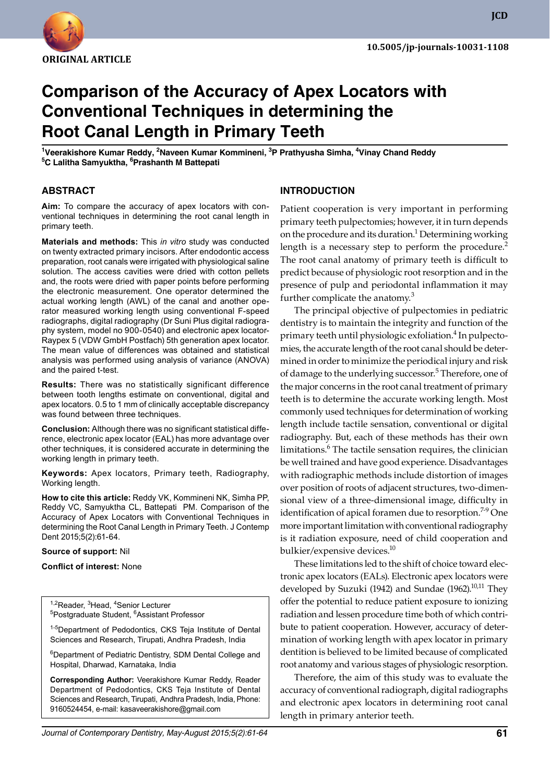

**JCD**

# **Comparison of the Accuracy of Apex Locators with Conventional Techniques in determining the Root Canal Length in Primary Teeth**

<sup>1</sup>Veerakishore Kumar Reddy, <sup>2</sup>Naveen Kumar Kommineni, <sup>3</sup>P Prathyusha Simha, <sup>4</sup>Vinay Chand Reddy **5 C Lalitha Samyuktha, 6 Prashanth M Battepati**

## **ABSTRACT**

**Aim:** To compare the accuracy of apex locators with conventional techniques in determining the root canal length in primary teeth.

**Materials and methods:** This *in vitro* study was conducted on twenty extracted primary incisors. After endodontic access preparation, root canals were irrigated with physiological saline solution. The access cavities were dried with cotton pellets and, the roots were dried with paper points before performing the electronic measurement. One operator determined the actual working length (AWL) of the canal and another operator measured working length using conventional F-speed radiographs, digital radiography (Dr Suni Plus digital radiography system, model no 900-0540) and electronic apex locator-Raypex 5 (VDW GmbH Postfach) 5th generation apex locator. The mean value of differences was obtained and statistical analysis was performed using analysis of variance (ANOVA) and the paired t-test.

**Results:** There was no statistically significant difference between tooth lengths estimate on conventional, digital and apex locators. 0.5 to 1 mm of clinically acceptable discrepancy was found between three techniques.

**Conclusion:** Although there was no significant statistical difference, electronic apex locator (EAL) has more advantage over other techniques, it is considered accurate in determining the working length in primary teeth.

**Keywords:** Apex locators, Primary teeth, Radiography, Working length.

**How to cite this article:** Reddy VK, Kommineni NK, Simha PP, Reddy VC, Samyuktha CL, Battepati PM. Comparison of the Accuracy of Apex Locators with Conventional Techniques in determining the Root Canal Length in Primary Teeth. J Contemp Dent 2015;5(2):61-64.

#### **Source of support:** Nil

#### **Conflict of interest:** None

<sup>1,2</sup>Reader, <sup>3</sup>Head, <sup>4</sup>Senior Lecturer<br><sup>5</sup>Postgraduate Student, <sup>6</sup>Assistant I Postgraduate Student, <sup>6</sup>Assistant Professor

1-5Department of Pedodontics, CKS Teja Institute of Dental Sciences and Research, Tirupati, Andhra Pradesh, India

<sup>6</sup>Department of Pediatric Dentistry, SDM Dental College and Hospital, Dharwad, Karnataka, India

**Corresponding Author:** Veerakishore Kumar Reddy, Reader Department of Pedodontics, Cks Teja Institute of Dental Sciences and Research, Tirupati, Andhra Pradesh, India, Phone: 9160524454, e-mail: kasaveerakishore@gmail.com

## **Introduction**

Patient cooperation is very important in performing primary teeth pulpectomies; however, it in turn depends on the procedure and its duration.<sup>1</sup> Determining working length is a necessary step to perform the procedure.<sup>2</sup> The root canal anatomy of primary teeth is difficult to predict because of physiologic root resorption and in the presence of pulp and periodontal inflammation it may further complicate the anatomy.<sup>3</sup>

The principal objective of pulpectomies in pediatric dentistry is to maintain the integrity and function of the primary teeth until physiologic exfoliation.<sup>4</sup> In pulpectomies, the accurate length of the root canal should be determined in order to minimize the periodical injury and risk of damage to the underlying successor.<sup>5</sup> Therefore, one of the major concerns in the root canal treatment of primary teeth is to determine the accurate working length. Most commonly used techniques for determination of working length include tactile sensation, conventional or digital radiography. But, each of these methods has their own limitations.<sup>6</sup> The tactile sensation requires, the clinician be well trained and have good experience. Disadvantages with radiographic methods include distortion of images over position of roots of adjacent structures, two-dimensional view of a three-dimensional image, difficulty in identification of apical foramen due to resorption.<sup>7-9</sup> One more important limitation with conventional radiography is it radiation exposure, need of child cooperation and bulkier/expensive devices.<sup>10</sup>

These limitations led to the shift of choice toward electronic apex locators (EALs). Electronic apex locators were developed by Suzuki (1942) and Sundae (1962).<sup>10,11</sup> They offer the potential to reduce patient exposure to ionizing radiation and lessen procedure time both of which contribute to patient cooperation. However, accuracy of determination of working length with apex locator in primary dentition is believed to be limited because of complicated root anatomy and various stages of physiologic resorption.

Therefore, the aim of this study was to evaluate the accuracy of conventional radiograph, digital radiographs and electronic apex locators in determining root canal length in primary anterior teeth.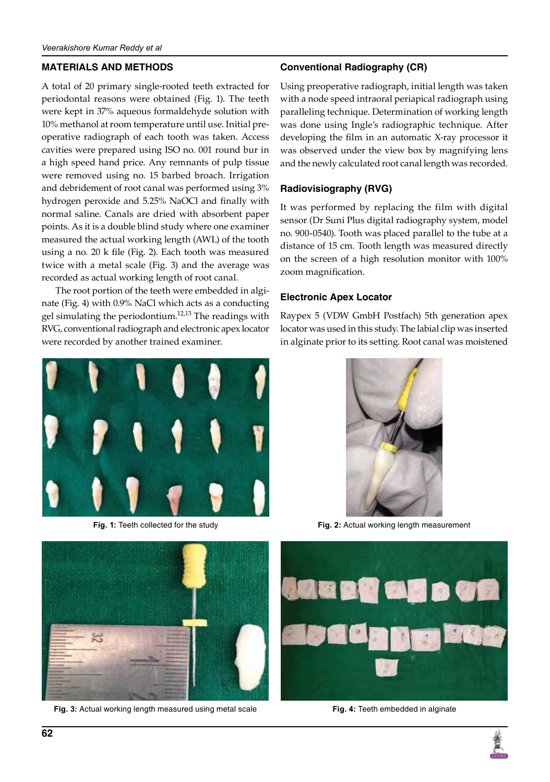## **Materials and methods**

A total of 20 primary single-rooted teeth extracted for periodontal reasons were obtained (Fig. 1). The teeth were kept in 37% aqueous formaldehyde solution with 10% methanol at room temperature until use. Initial preoperative radiograph of each tooth was taken. Access cavities were prepared using ISO no. 001 round bur in a high speed hand price. Any remnants of pulp tissue were removed using no. 15 barbed broach. Irrigation and debridement of root canal was performed using 3% hydrogen peroxide and 5.25% NaOCl and finally with normal saline. Canals are dried with absorbent paper points. As it is a double blind study where one examiner measured the actual working length (AWL) of the tooth using a no. 20 k file (Fig. 2). Each tooth was measured twice with a metal scale (Fig. 3) and the average was recorded as actual working length of root canal.

The root portion of the teeth were embedded in alginate (Fig. 4) with 0.9% NaCl which acts as a conducting gel simulating the periodontium.<sup>12,13</sup> The readings with RVG, conventional radiograph and electronic apex locator were recorded by another trained examiner.





**Fig. 3:** Actual working length measured using metal scale **Fig. 4:** Teeth embedded in alginate

## **Conventional Radiography (CR)**

Using preoperative radiograph, initial length was taken with a node speed intraoral periapical radiograph using paralleling technique. Determination of working length was done using Ingle's radiographic technique. After developing the film in an automatic X-ray processor it was observed under the view box by magnifying lens and the newly calculated root canal length was recorded.

### **Radiovisiography (RVG)**

It was performed by replacing the film with digital sensor (Dr Suni Plus digital radiography system, model no. 900-0540). Tooth was placed parallel to the tube at a distance of 15 cm. Tooth length was measured directly on the screen of a high resolution monitor with 100% zoom magnification.

### **Electronic Apex Locator**

Raypex 5 (VDW GmbH Postfach) 5th generation apex locator was used in this study. The labial clip was inserted in alginate prior to its setting. Root canal was moistened



**Fig. 1:** Teeth collected for the study **Fig. 2:** Actual working length measurement



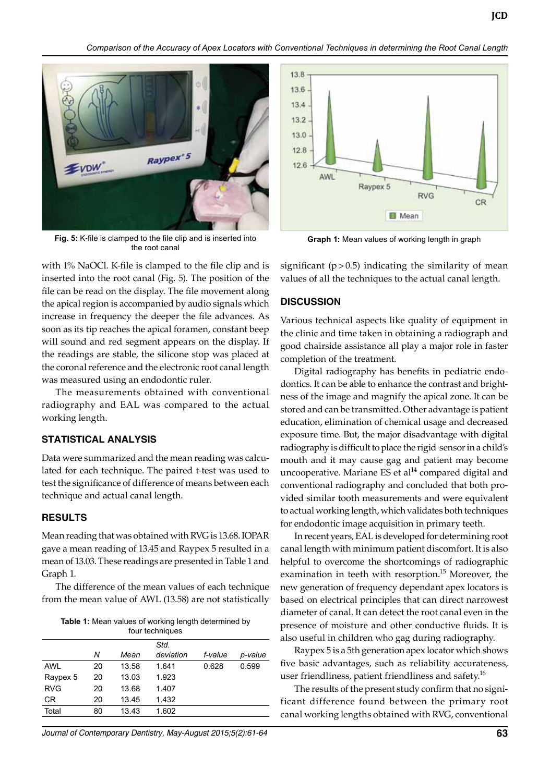*Comparison of the Accuracy of Apex Locators with Conventional Techniques in determining the Root Canal Length*



**Fig. 5:** K-file is clamped to the file clip and is inserted into the root canal

with 1% NaOCl. K-file is clamped to the file clip and is inserted into the root canal (Fig. 5). The position of the file can be read on the display. The file movement along the apical region is accompanied by audio signals which increase in frequency the deeper the file advances. As soon as its tip reaches the apical foramen, constant beep will sound and red segment appears on the display. If the readings are stable, the silicone stop was placed at the coronal reference and the electronic root canal length was measured using an endodontic ruler.

The measurements obtained with conventional radiography and EAL was compared to the actual working length.

## **Statistical analysis**

Data were summarized and the mean reading was calculated for each technique. The paired t-test was used to test the significance of difference of means between each technique and actual canal length.

## **Results**

Mean reading that was obtained with RVG is 13.68. IOPAR gave a mean reading of 13.45 and Raypex 5 resulted in a mean of 13.03. These readings are presented in Table 1 and Graph 1.

The difference of the mean values of each technique from the mean value of AWL (13.58) are not statistically

| <b>Table 1:</b> Mean values of working length determined by |  |
|-------------------------------------------------------------|--|
| four techniques                                             |  |

|            | Ν  | Mean  | Std.<br>deviation | f-value | p-value |
|------------|----|-------|-------------------|---------|---------|
| <b>AWL</b> | 20 | 13.58 | 1.641             | 0.628   | 0.599   |
| Raypex 5   | 20 | 13.03 | 1.923             |         |         |
| <b>RVG</b> | 20 | 13.68 | 1.407             |         |         |
| CR.        | 20 | 13.45 | 1.432             |         |         |
| Total      | 80 | 13.43 | 1.602             |         |         |
|            |    |       |                   |         |         |

*Journal of Contemporary Dentistry, May-August 2015;5(2):61-64* **63**



**Graph 1:** Mean values of working length in graph

significant  $(p > 0.5)$  indicating the similarity of mean values of all the techniques to the actual canal length.

## **Discussion**

Various technical aspects like quality of equipment in the clinic and time taken in obtaining a radiograph and good chairside assistance all play a major role in faster completion of the treatment.

Digital radiography has benefits in pediatric endodontics. It can be able to enhance the contrast and brightness of the image and magnify the apical zone. It can be stored and can be transmitted. Other advantage is patient education, elimination of chemical usage and decreased exposure time. But, the major disadvantage with digital radiography is difficult to place the rigid sensor in a child's mouth and it may cause gag and patient may become uncooperative. Mariane ES et al $14$  compared digital and conventional radiography and concluded that both provided similar tooth measurements and were equivalent to actual working length, which validates both techniques for endodontic image acquisition in primary teeth.

In recent years, EAL is developed for determining root canal length with minimum patient discomfort. It is also helpful to overcome the shortcomings of radiographic examination in teeth with resorption.<sup>15</sup> Moreover, the new generation of frequency dependant apex locators is based on electrical principles that can direct narrowest diameter of canal. It can detect the root canal even in the presence of moisture and other conductive fluids. It is also useful in children who gag during radiography.

Raypex 5 is a 5th generation apex locator which shows five basic advantages, such as reliability accurateness, user friendliness, patient friendliness and safety.<sup>16</sup>

The results of the present study confirm that no significant difference found between the primary root canal working lengths obtained with RVG, conventional